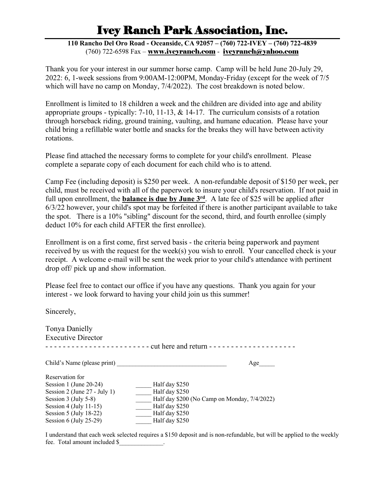# Ivey Ranch Park Association, Inc.

**110 Rancho Del Oro Road - Oceanside, CA 92057 – (760) 722-IVEY – (760) 722-4839** (760) 722-6598 Fax – www.iveyranch.com - iveyranch@yahoo.com

Thank you for your interest in our summer horse camp. Camp will be held June 20-July 29, 2022: 6, 1-week sessions from 9:00AM-12:00PM, Monday-Friday (except for the week of 7/5 which will have no camp on Monday, 7/4/2022). The cost breakdown is noted below.

Enrollment is limited to 18 children a week and the children are divided into age and ability appropriate groups - typically: 7-10, 11-13, & 14-17. The curriculum consists of a rotation through horseback riding, ground training, vaulting, and humane education. Please have your child bring a refillable water bottle and snacks for the breaks they will have between activity rotations.

Please find attached the necessary forms to complete for your child's enrollment. Please complete a separate copy of each document for each child who is to attend.

Camp Fee (including deposit) is \$250 per week. A non-refundable deposit of \$150 per week, per child, must be received with all of the paperwork to insure your child's reservation. If not paid in full upon enrollment, the **balance is due by June 3rd**. A late fee of \$25 will be applied after  $6/3/22$  however, your child's spot may be forfeited if there is another participant available to take the spot. There is a 10% "sibling" discount for the second, third, and fourth enrollee (simply deduct 10% for each child AFTER the first enrollee).

Enrollment is on a first come, first served basis - the criteria being paperwork and payment received by us with the request for the week(s) you wish to enroll. Your cancelled check is your receipt. A welcome e-mail will be sent the week prior to your child's attendance with pertinent drop off/ pick up and show information.

Please feel free to contact our office if you have any questions. Thank you again for your interest - we look forward to having your child join us this summer!

Sincerely,

| Tonya Danielly                |                                                     |
|-------------------------------|-----------------------------------------------------|
| <b>Executive Director</b>     |                                                     |
| <u> - - - - - - - - - - -</u> | cut here and return - - - - - - - - - - - - - - - - |
| Child's Name (please print)   | Age                                                 |
| Reservation for               |                                                     |
| Session 1 (June 20-24)        | Half day \$250                                      |
| Session 2 (June 27 - July 1)  | Half day \$250                                      |
| Session 3 (July 5-8)          | Half day \$200 (No Camp on Monday, 7/4/2022)        |
| Session 4 (July 11-15)        | Half day \$250                                      |
| Session 5 (July 18-22)        | Half day \$250                                      |
| Session $6$ (July 25-29)      | Half day \$250                                      |

I understand that each week selected requires a \$150 deposit and is non-refundable, but will be applied to the weekly fee. Total amount included \$\_\_\_\_\_\_\_\_\_\_\_\_\_\_.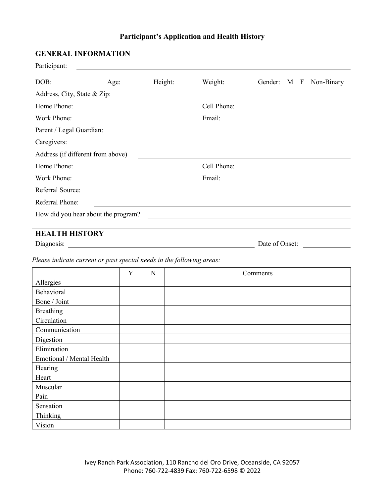# **Participant's Application and Health History**

| <b>GENERAL INFORMATION</b>                                                                                                          |   |   |        |                                                                                                                  |          |  |                                                                                                                                                                                                                                     |
|-------------------------------------------------------------------------------------------------------------------------------------|---|---|--------|------------------------------------------------------------------------------------------------------------------|----------|--|-------------------------------------------------------------------------------------------------------------------------------------------------------------------------------------------------------------------------------------|
| Participant:<br><u> 1989 - Johann Barn, fransk politik formuler (d. 1989)</u>                                                       |   |   |        |                                                                                                                  |          |  |                                                                                                                                                                                                                                     |
| Age: Height: Weight: Gender: M F Non-Binary<br>DOB:                                                                                 |   |   |        |                                                                                                                  |          |  |                                                                                                                                                                                                                                     |
| Address, City, State & Zip:                                                                                                         |   |   |        | <u> 1980 - Johann Barbara, martin amerikan basar da</u>                                                          |          |  |                                                                                                                                                                                                                                     |
| Home Phone:                                                                                                                         |   |   |        | Cell Phone:                                                                                                      |          |  | <u> 1989 - Johann Barbara, martxa alemaniar a</u>                                                                                                                                                                                   |
| Work Phone:                                                                                                                         |   |   | Email: |                                                                                                                  |          |  | <u> 1989 - Johann Barn, mars ann an t-Amhain Aonaich an t-Aonaich an t-Aonaich ann an t-Aonaich ann an t-Aonaich</u>                                                                                                                |
|                                                                                                                                     |   |   |        |                                                                                                                  |          |  |                                                                                                                                                                                                                                     |
| Caregivers:<br><u> 1980 - Jan Samuel Barbara, martin da shekara 1980 - An tsara 1980 - An tsara 1980 - An tsara 1980 - An tsara</u> |   |   |        |                                                                                                                  |          |  |                                                                                                                                                                                                                                     |
| Address (if different from above)                                                                                                   |   |   |        |                                                                                                                  |          |  |                                                                                                                                                                                                                                     |
| Home Phone:                                                                                                                         |   |   |        |                                                                                                                  |          |  | Cell Phone: <u>Department of the Cell Phone</u> Cell Phone and the Cell Phone of the Cell Phone of the Cell Phone of the Cell Phone of the Cell Phone of the Cell Phone of the Cell Phone of the Cell Phone of the Cell Phone of th |
| Work Phone:                                                                                                                         |   |   |        |                                                                                                                  |          |  |                                                                                                                                                                                                                                     |
| Referral Source:                                                                                                                    |   |   |        |                                                                                                                  |          |  |                                                                                                                                                                                                                                     |
| Referral Phone:                                                                                                                     |   |   |        | and the control of the control of the control of the control of the control of the control of the control of the |          |  |                                                                                                                                                                                                                                     |
|                                                                                                                                     |   |   |        | <u> 1980 - Andrea Station Barbara, amerikan personal (h. 1980).</u>                                              |          |  |                                                                                                                                                                                                                                     |
| How did you hear about the program?                                                                                                 |   |   |        |                                                                                                                  |          |  |                                                                                                                                                                                                                                     |
| <b>HEALTH HISTORY</b>                                                                                                               |   |   |        |                                                                                                                  |          |  |                                                                                                                                                                                                                                     |
| Diagnosis:                                                                                                                          |   |   |        |                                                                                                                  |          |  | Date of Onset:                                                                                                                                                                                                                      |
| Please indicate current or past special needs in the following areas:                                                               |   |   |        |                                                                                                                  |          |  |                                                                                                                                                                                                                                     |
|                                                                                                                                     | Y | N |        |                                                                                                                  | Comments |  |                                                                                                                                                                                                                                     |
| Allergies                                                                                                                           |   |   |        |                                                                                                                  |          |  |                                                                                                                                                                                                                                     |
| Behavioral                                                                                                                          |   |   |        |                                                                                                                  |          |  |                                                                                                                                                                                                                                     |
| Bone / Joint                                                                                                                        |   |   |        |                                                                                                                  |          |  |                                                                                                                                                                                                                                     |
| Breathing                                                                                                                           |   |   |        |                                                                                                                  |          |  |                                                                                                                                                                                                                                     |
| Circulation                                                                                                                         |   |   |        |                                                                                                                  |          |  |                                                                                                                                                                                                                                     |
| Communication                                                                                                                       |   |   |        |                                                                                                                  |          |  |                                                                                                                                                                                                                                     |
| Digestion                                                                                                                           |   |   |        |                                                                                                                  |          |  |                                                                                                                                                                                                                                     |
| Elimination                                                                                                                         |   |   |        |                                                                                                                  |          |  |                                                                                                                                                                                                                                     |
| Emotional / Mental Health                                                                                                           |   |   |        |                                                                                                                  |          |  |                                                                                                                                                                                                                                     |
| Hearing                                                                                                                             |   |   |        |                                                                                                                  |          |  |                                                                                                                                                                                                                                     |
| Heart                                                                                                                               |   |   |        |                                                                                                                  |          |  |                                                                                                                                                                                                                                     |
| Muscular                                                                                                                            |   |   |        |                                                                                                                  |          |  |                                                                                                                                                                                                                                     |
| Pain                                                                                                                                |   |   |        |                                                                                                                  |          |  |                                                                                                                                                                                                                                     |
| Sensation                                                                                                                           |   |   |        |                                                                                                                  |          |  |                                                                                                                                                                                                                                     |

Thinking Vision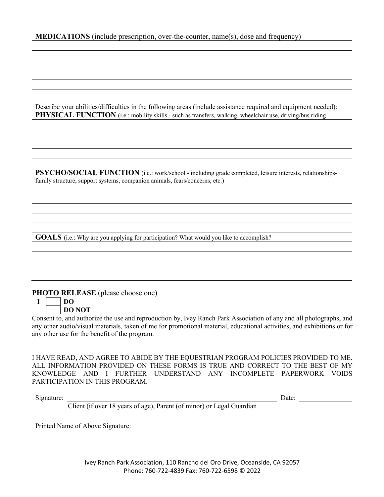Describe your abilities/difficulties in the following areas (include assistance required and equipment needed): **PHYSICAL FUNCTION** (i.e.: mobility skills - such as transfers, walking, wheelchair use, driving/bus riding

**PSYCHO/SOCIAL FUNCTION** (i.e.: work/school - including grade completed, leisure interests, relationshipsfamily structure, support systems, companion animals, fears/concerns, etc.)

**GOALS** (i.e.: Why are you applying for participation? What would you like to accomplish?

#### **PHOTO RELEASE** (please choose one)

**I DO DO NOT**

Consent to, and authorize the use and reproduction by, Ivey Ranch Park Association of any and all photographs, and any other audio/visual materials, taken of me for promotional material, educational activities, and exhibitions or for any other use for the benefit of the program.

I HAVE READ, AND AGREE TO ABIDE BY THE EQUESTRIAN PROGRAM POLICIES PROVIDED TO ME. ALL INFORMATION PROVIDED ON THESE FORMS IS TRUE AND CORRECT TO THE BEST OF MY KNOWLEDGE AND I FURTHER UNDERSTAND ANY INCOMPLETE PAPERWORK VOIDS PARTICIPATION IN THIS PROGRAM.

Signature: Date:

Client (if over 18 years of age), Parent (of minor) or Legal Guardian

Printed Name of Above Signature:

Ivey Ranch Park Association, 110 Rancho del Oro Drive, Oceanside, CA 92057 Phone: 760-722-4839 Fax: 760-722-6598 © 2022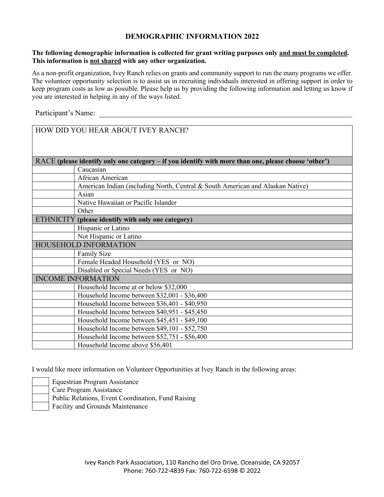#### **DEMOGRAPHIC INFORMATION 2022**

#### **The following demographic information is collected for grant writing purposes only and must be completed. This information is not shared with any other organization.**

As a non-profit organization, Ivey Ranch relies on grants and community support to run the many programs we offer. The volunteer opportunity selection is to assist us in recruiting individuals interested in offering support in order to keep program costs as low as possible. Please help us by providing the following information and letting us know if you are interested in helping in any of the ways listed.

Participant's Name:

| HOW DID YOU HEAR ABOUT IVEY RANCH?                                                                   |  |  |  |
|------------------------------------------------------------------------------------------------------|--|--|--|
|                                                                                                      |  |  |  |
| RACE (please identify only one category – if you identify with more than one, please choose 'other') |  |  |  |
| Caucasian                                                                                            |  |  |  |
| African American                                                                                     |  |  |  |
| American Indian (including North, Central & South American and Alaskan Native)                       |  |  |  |
| Asian                                                                                                |  |  |  |
| Native Hawaiian or Pacific Islander                                                                  |  |  |  |
| Other                                                                                                |  |  |  |
| ETHNICITY (please identify with only one category)                                                   |  |  |  |
| Hispanic or Latino                                                                                   |  |  |  |
| Not Hispanic or Latino                                                                               |  |  |  |
| HOUSEHOLD INFORMATION                                                                                |  |  |  |
| Family Size                                                                                          |  |  |  |
| Female Headed Household (YES or NO)                                                                  |  |  |  |
| Disabled or Special Needs (YES or NO)                                                                |  |  |  |
| <b>INCOME INFORMATION</b>                                                                            |  |  |  |
| Household Income at or below \$32,000                                                                |  |  |  |
| Household Income between \$32,001 - \$36,400                                                         |  |  |  |
| Household Income between \$36,401 - \$40,950                                                         |  |  |  |
| Household Income between \$40,951 - \$45,450                                                         |  |  |  |
| Household Income between \$45,451 - \$49,100                                                         |  |  |  |
| Household Income between \$49,101 - \$52,750                                                         |  |  |  |
| Household Income between \$52,751 - \$56,400                                                         |  |  |  |
| Household Income above \$56,401                                                                      |  |  |  |

I would like more information on Volunteer Opportunities at Ivey Ranch in the following areas:

Equestrian Program Assistance Care Program Assistance

Public Relations, Event Coordination, Fund Raising

Facility and Grounds Maintenance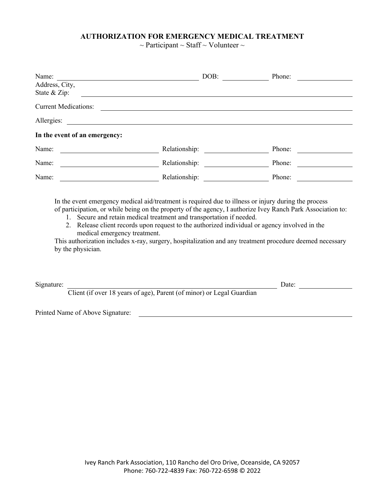### **AUTHORIZATION FOR EMERGENCY MEDICAL TREATMENT**

 $\sim$  Participant  $\sim$  Staff  $\sim$  Volunteer  $\sim$ 

| Name:                                                                                                                                                                                                                                                                                                                                                                                                                                                                                                                                                         | DOB:                                                                                                                | Phone: |  |  |
|---------------------------------------------------------------------------------------------------------------------------------------------------------------------------------------------------------------------------------------------------------------------------------------------------------------------------------------------------------------------------------------------------------------------------------------------------------------------------------------------------------------------------------------------------------------|---------------------------------------------------------------------------------------------------------------------|--------|--|--|
| Address, City,<br>State & Zip:                                                                                                                                                                                                                                                                                                                                                                                                                                                                                                                                |                                                                                                                     |        |  |  |
| <b>Current Medications:</b>                                                                                                                                                                                                                                                                                                                                                                                                                                                                                                                                   |                                                                                                                     |        |  |  |
| Allergies:                                                                                                                                                                                                                                                                                                                                                                                                                                                                                                                                                    | <u> 1989 - Johann Barbara, markazi bashkar a shekara ta 1989 - André a shekara ta 1989 - André a shekara ta 198</u> |        |  |  |
| In the event of an emergency:                                                                                                                                                                                                                                                                                                                                                                                                                                                                                                                                 |                                                                                                                     |        |  |  |
| Name:                                                                                                                                                                                                                                                                                                                                                                                                                                                                                                                                                         |                                                                                                                     | Phone: |  |  |
| Name:<br><u> 1980 - Johann Barbara, martxa a</u>                                                                                                                                                                                                                                                                                                                                                                                                                                                                                                              |                                                                                                                     | Phone: |  |  |
| Name:                                                                                                                                                                                                                                                                                                                                                                                                                                                                                                                                                         |                                                                                                                     | Phone: |  |  |
| In the event emergency medical aid/treatment is required due to illness or injury during the process<br>of participation, or while being on the property of the agency, I authorize Ivey Ranch Park Association to:<br>1. Secure and retain medical treatment and transportation if needed.<br>2. Release client records upon request to the authorized individual or agency involved in the<br>medical emergency treatment.<br>This authorization includes x-ray, surgery, hospitalization and any treatment procedure deemed necessary<br>by the physician. |                                                                                                                     |        |  |  |
| Signature:<br>Client (if over 18 years of age), Parent (of minor) or Legal Guardian                                                                                                                                                                                                                                                                                                                                                                                                                                                                           |                                                                                                                     | Date:  |  |  |
| Printed Name of Above Signature:                                                                                                                                                                                                                                                                                                                                                                                                                                                                                                                              |                                                                                                                     |        |  |  |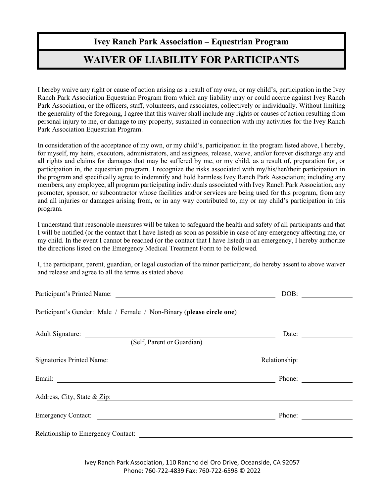## **Ivey Ranch Park Association – Equestrian Program**

# **WAIVER OF LIABILITY FOR PARTICIPANTS**

I hereby waive any right or cause of action arising as a result of my own, or my child's, participation in the Ivey Ranch Park Association Equestrian Program from which any liability may or could accrue against Ivey Ranch Park Association, or the officers, staff, volunteers, and associates, collectively or individually. Without limiting the generality of the foregoing, I agree that this waiver shall include any rights or causes of action resulting from personal injury to me, or damage to my property, sustained in connection with my activities for the Ivey Ranch Park Association Equestrian Program.

In consideration of the acceptance of my own, or my child's, participation in the program listed above, I hereby, for myself, my heirs, executors, administrators, and assignees, release, waive, and/or forever discharge any and all rights and claims for damages that may be suffered by me, or my child, as a result of, preparation for, or participation in, the equestrian program. I recognize the risks associated with my/his/her/their participation in the program and specifically agree to indemnify and hold harmless Ivey Ranch Park Association; including any members, any employee, all program participating individuals associated with Ivey Ranch Park Association, any promoter, sponsor, or subcontractor whose facilities and/or services are being used for this program, from any and all injuries or damages arising from, or in any way contributed to, my or my child's participation in this program.

I understand that reasonable measures will be taken to safeguard the health and safety of all participants and that I will be notified (or the contact that I have listed) as soon as possible in case of any emergency affecting me, or my child. In the event I cannot be reached (or the contact that I have listed) in an emergency, I hereby authorize the directions listed on the Emergency Medical Treatment Form to be followed.

I, the participant, parent, guardian, or legal custodian of the minor participant, do hereby assent to above waiver and release and agree to all the terms as stated above.

|                                                                      | DOB:          |
|----------------------------------------------------------------------|---------------|
| Participant's Gender: Male / Female / Non-Binary (please circle one) |               |
| Adult Signature: (Self, Parent or Guardian)                          | Date:         |
|                                                                      |               |
| Signatories Printed Name:                                            | Relationship: |
|                                                                      | Phone:        |
| Address, City, State & Zip:                                          |               |
| Emergency Contact:                                                   | Phone:        |
| Relationship to Emergency Contact:                                   |               |

Ivey Ranch Park Association, 110 Rancho del Oro Drive, Oceanside, CA 92057 Phone: 760-722-4839 Fax: 760-722-6598 © 2022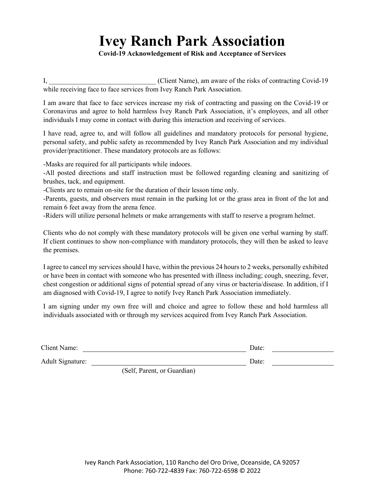# **Ivey Ranch Park Association**

**Covid-19 Acknowledgement of Risk and Acceptance of Services**

I, Client Name), am aware of the risks of contracting Covid-19 while receiving face to face services from Ivey Ranch Park Association.

I am aware that face to face services increase my risk of contracting and passing on the Covid-19 or Coronavirus and agree to hold harmless Ivey Ranch Park Association, it's employees, and all other individuals I may come in contact with during this interaction and receiving of services.

I have read, agree to, and will follow all guidelines and mandatory protocols for personal hygiene, personal safety, and public safety as recommended by Ivey Ranch Park Association and my individual provider/practitioner. These mandatory protocols are as follows:

-Masks are required for all participants while indoors.

-All posted directions and staff instruction must be followed regarding cleaning and sanitizing of brushes, tack, and equipment.

-Clients are to remain on-site for the duration of their lesson time only.

-Parents, guests, and observers must remain in the parking lot or the grass area in front of the lot and remain 6 feet away from the arena fence.

-Riders will utilize personal helmets or make arrangements with staff to reserve a program helmet.

Clients who do not comply with these mandatory protocols will be given one verbal warning by staff. If client continues to show non-compliance with mandatory protocols, they will then be asked to leave the premises.

I agree to cancel my services should I have, within the previous 24 hours to 2 weeks, personally exhibited or have been in contact with someone who has presented with illness including; cough, sneezing, fever, chest congestion or additional signs of potential spread of any virus or bacteria/disease. In addition, if I am diagnosed with Covid-19, I agree to notify Ivey Ranch Park Association immediately.

I am signing under my own free will and choice and agree to follow these and hold harmless all individuals associated with or through my services acquired from Ivey Ranch Park Association.

| <b>Client Name:</b> |                              | Date: |  |
|---------------------|------------------------------|-------|--|
| Adult Signature:    |                              | Date: |  |
|                     | $(Solf)$ Doront or Guardian) |       |  |

(Self, Parent, or Guardian)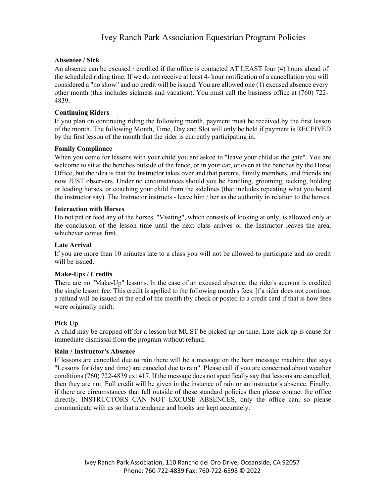## Ivey Ranch Park Association Equestrian Program Policies

#### **Absentee / Sick**

An absence can be excused / credited if the office is contacted AT LEAST four (4) hours ahead of the scheduled riding time. If we do not receive at least 4- hour notification of a cancellation you will considered a "no show" and no credit will be issued. You are allowed one (1) excused absence every other month (this includes sickness and vacation). You must call the business office at (760) 722- 4839.

#### **Continuing Riders**

If you plan on continuing riding the following month, payment must be received by the first lesson of the month. The following Month, Time, Day and Slot will only be held if payment is RECEIVED by the first lesson of the month that the rider is currently participating in.

#### **Family Compliance**

When you come for lessons with your child you are asked to "leave your child at the gate". You are welcome to sit at the benches outside of the fence, or in your car, or even at the benches by the Horse Office, but the idea is that the Instructor takes over and that parents, family members, and friends are now JUST observers. Under no circumstances should you be handling, grooming, tacking, holding or leading horses, or coaching your child from the sidelines (that includes repeating what you heard the instructor say). The Instructor instructs - leave him / her as the authority in relation to the horses.

#### **Interaction with Horses**

Do not pet or feed any of the horses. "Visiting", which consists of looking at only, is allowed only at the conclusion of the lesson time until the next class arrives or the Instructor leaves the area, whichever comes first.

#### **Late Arrival**

If you are more than 10 minutes late to a class you will not be allowed to participate and no credit will be issued.

#### **Make-Ups / Credits**

There are no "Make-Up" lessons. ln the case of an excused absence, the rider's account is credited the single lesson fee. This credit is applied to the following month's fees. ]f a rider does not continue, a refund will be issued at the end of the month (by check or posted to a credit card if that is how fees were originally paid).

#### **Pick Up**

A child may be dropped off for a lesson but MUST be picked up on time. Late pick-up is cause for immediate dismissal from the program without refund.

#### **Rain / Instructor's Absence**

If lessons are cancelled due to rain there will be a message on the barn message machine that says "Lessons for (day and time) are canceled due to rain". Please call if you are concerned about weather conditions (760) 722-4839 ext 417. If the message does not specifically say that lessons are cancelled, then they are not. Full credit will be given in the instance of rain or an instructor's absence. Finally, if there are circumstances that fall outside of these standard policies then please contact the office directly. INSTRUCTORS CAN NOT EXCUSE ABSENCES, only the office can, so please communicate with us so that attendance and books are kept accurately.